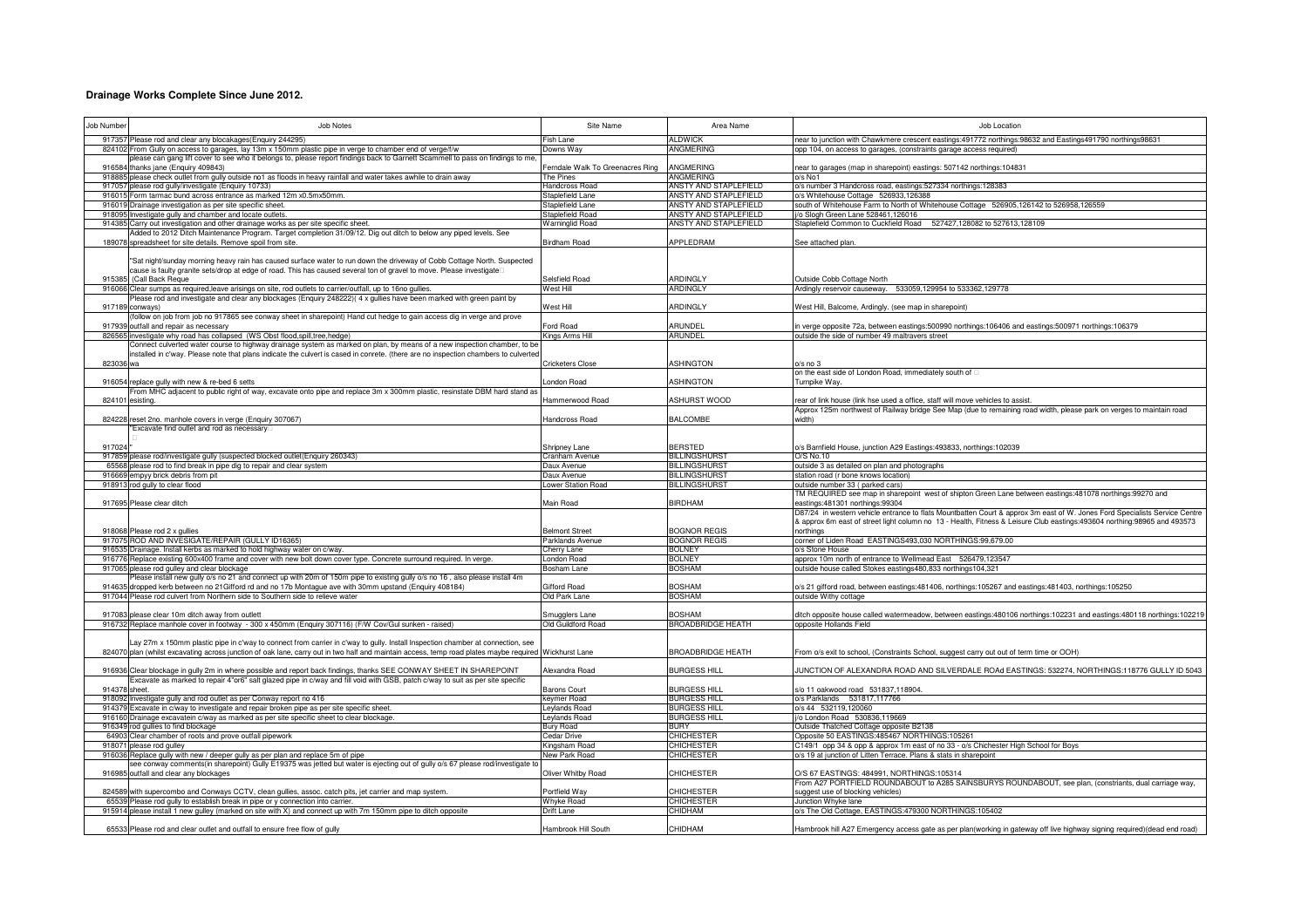## **Drainage Works Complete Since June 2012.**

| Job Number      | Job Notes                                                                                                                                                                                                                                                                               | Site Name                                 | Area Name                                      | Job Location                                                                                                                                                                                                                                           |
|-----------------|-----------------------------------------------------------------------------------------------------------------------------------------------------------------------------------------------------------------------------------------------------------------------------------------|-------------------------------------------|------------------------------------------------|--------------------------------------------------------------------------------------------------------------------------------------------------------------------------------------------------------------------------------------------------------|
|                 | 917357 Please rod and clear any blocakages (Enguiry 244295)                                                                                                                                                                                                                             | Fish Lane                                 | <b>ALDWICK</b>                                 | near to junction with Chawkmere crescent eastings:491772 northings:98632 and Eastings491790 northings98631                                                                                                                                             |
|                 | 824102 From Gully on access to garages, lay 13m x 150mm plastic pipe in verge to chamber end of verge/f/w<br>please can gang lift cover to see who it belongs to, please report findings back to Garnett Scammell to pass on findings to me,                                            | Downs Way                                 | <b>ANGMERING</b>                               | opp 104, on access to garages, (constraints garage access required)                                                                                                                                                                                    |
|                 | 916584 thanks jane (Enquiry 409843)                                                                                                                                                                                                                                                     | Ferndale Walk To Greenacres Ring          | ANGMERING                                      | near to garages (map in sharepoint) eastings: 507142 northings:104831                                                                                                                                                                                  |
|                 | 918885 please check outlet from gully outside no1 as floods in heavy rainfall and water takes awhile to drain away                                                                                                                                                                      | The Pines                                 | <b>ANGMERING</b>                               | $o/s$ No1                                                                                                                                                                                                                                              |
| 916015          | 917057 please rod gully/investigate (Enquiry 10733)<br>Form tarmac bund across entrance as marked 12m x0.5mx50mm.                                                                                                                                                                       | <b>Handcross Road</b><br>Staplefield Lane | ANSTY AND STAPLEFIELD<br>ANSTY AND STAPLEFIELD | o/s number 3 Handcross road, eastings:527334 northings:128383<br>o/s Whitehouse Cottage 526933.126388                                                                                                                                                  |
|                 | 916019 Drainage investigation as per site specific sheet.                                                                                                                                                                                                                               | Itaplefield Lane                          | ANSTY AND STAPLEFIELD                          | south of Whitehouse Farm to North of Whitehouse Cottage 526905,126142 to 526958,126559                                                                                                                                                                 |
| 91809           | nvestigate gully and chamber and locate outlets.                                                                                                                                                                                                                                        | staplefield Road                          | ANSTY AND STAPLEFIELD                          | /o Slogh Green Lane 528461,126016                                                                                                                                                                                                                      |
| 91438           | Carry out investigation and other drainage works as per site specific sheet                                                                                                                                                                                                             | <b>Narninglid Road</b>                    | ANSTY AND STAPLEFIELD                          | Staplefield Common to Cuckfield Road 527427,128082 to 527613,128109                                                                                                                                                                                    |
| 18907           | Added to 2012 Ditch Maintenance Program. Target completion 31/09/12. Dig out ditch to below any piped levels. See<br>spreadsheet for site details. Remove spoil from site.                                                                                                              | Birdham Road                              | APPLEDRAM                                      |                                                                                                                                                                                                                                                        |
|                 |                                                                                                                                                                                                                                                                                         |                                           |                                                | See attached plan.                                                                                                                                                                                                                                     |
|                 | "Sat night/sunday morning heavy rain has caused surface water to run down the driveway of Cobb Cottage North. Suspected                                                                                                                                                                 |                                           |                                                |                                                                                                                                                                                                                                                        |
|                 | cause is faulty granite sets/drop at edge of road. This has caused several ton of gravel to move. Please investigate                                                                                                                                                                    |                                           |                                                |                                                                                                                                                                                                                                                        |
|                 | 915385 (Call Back Reque<br>916066 Clear sumps as required, leave arisings on site, rod outlets to carrier/outfall, up to 16no gullies.                                                                                                                                                  | Selsfield Road<br>West Hill               | ARDINGLY<br>ARDINGLY                           | Outside Cobb Cottage North<br>Ardingly reservoir causeway. 533059,129954 to 533362,129778                                                                                                                                                              |
|                 | Please rod and investigate and clear any blockages (Enquiry 248222) (4 x gullies have been marked with green paint by                                                                                                                                                                   |                                           |                                                |                                                                                                                                                                                                                                                        |
|                 | 917189 conways)                                                                                                                                                                                                                                                                         | Vest Hill                                 | ARDINGLY                                       | West Hill, Balcome, Ardingly. (see map in sharepoint)                                                                                                                                                                                                  |
|                 | (follow on job from job no 917865 see conway sheet in sharepoint) Hand cut hedge to gain access dig in verge and prove                                                                                                                                                                  |                                           |                                                |                                                                                                                                                                                                                                                        |
| 826565          | 917939 outfall and repair as necessary<br>investigate why road has collapsed (WS Obst flood, spill, tree, hedge)                                                                                                                                                                        | ord Road<br><b>Kings Arms Hill</b>        | ARUNDEL<br><b>ARUNDEL</b>                      | n verge opposite 72a, between eastings:500990 northings:106406 and eastings:500971 northings:106379<br>outside the side of number 49 maltravers street                                                                                                 |
|                 | Connect culverted water course to highway drainage system as marked on plan, by means of a new inspection chamber, to be                                                                                                                                                                |                                           |                                                |                                                                                                                                                                                                                                                        |
|                 | nstalled in c'way. Please note that plans indicate the culvert is cased in conrete. (there are no inspection chambers to culverted                                                                                                                                                      |                                           |                                                |                                                                                                                                                                                                                                                        |
| 823036 wa       |                                                                                                                                                                                                                                                                                         | Cricketers Close                          | <b>ASHINGTON</b>                               | o/s no 3                                                                                                                                                                                                                                               |
|                 | 916054 replace gully with new & re-bed 6 setts                                                                                                                                                                                                                                          | ondon Road                                | <b>ASHINGTON</b>                               | on the east side of London Road, immediately south of<br>Turnpike Way.                                                                                                                                                                                 |
|                 | From MHC adjacent to public right of way, excavate onto pipe and replace 3m x 300mm plastic, resinstate DBM hard stand as                                                                                                                                                               |                                           |                                                |                                                                                                                                                                                                                                                        |
| 824101          | esisting                                                                                                                                                                                                                                                                                | Hammerwood Road                           | ASHURST WOOD                                   | rear of link house (link hse used a office, staff will move vehicles to assist                                                                                                                                                                         |
|                 |                                                                                                                                                                                                                                                                                         |                                           |                                                | Approx 125m northwest of Railway bridge See Map (due to remaining road width, please park on verges to maintain road                                                                                                                                   |
|                 | 824228 reset 2no. manhole covers in verge (Enquiry 307067)<br>Excavate find outlet and rod as necessary                                                                                                                                                                                 | Handcross Road                            | <b>BALCOMBE</b>                                | width)                                                                                                                                                                                                                                                 |
|                 |                                                                                                                                                                                                                                                                                         |                                           |                                                |                                                                                                                                                                                                                                                        |
| 917024          |                                                                                                                                                                                                                                                                                         | Shripney Lane                             | <b>BERSTED</b>                                 | o/s Barnfield House, junction A29 Eastings:493833, northings:102039                                                                                                                                                                                    |
|                 | 917859 please rod/investigate gully (suspected blocked outlet(Enquiry 260343)                                                                                                                                                                                                           | Cranham Avenue                            | <b>BILLINGSHURST</b>                           | O/S No.10                                                                                                                                                                                                                                              |
| 65568<br>916669 | blease rod to find break in pipe dig to repair and clear system<br>empyy brick debris from pit                                                                                                                                                                                          | Jaux Avenue<br>Jaux Avenue                | <b>BILLINGSHURST</b><br><b>BILLINGSHURST</b>   | outside 3 as detailed on plan and photographs<br>station road (r bone knows location)                                                                                                                                                                  |
|                 | 918913 rod gully to clear flood                                                                                                                                                                                                                                                         | Lower Station Road                        | <b>BILLINGSHURST</b>                           | outside number 33 (parked cars)                                                                                                                                                                                                                        |
|                 |                                                                                                                                                                                                                                                                                         |                                           |                                                | TM REQUIRED see map in sharepoint west of shipton Green Lane between eastings:481078 northings:99270 and                                                                                                                                               |
|                 | 917695 Please clear ditch                                                                                                                                                                                                                                                               | Main Road                                 | <b>BIRDHAM</b>                                 | eastings:481301 northings:99304                                                                                                                                                                                                                        |
|                 |                                                                                                                                                                                                                                                                                         |                                           |                                                | D87/24 in western vehicle entrance to flats Mountbatten Court & approx 3m east of W. Jones Ford Specialists Service Centre<br>& approx 6m east of street light column no 13 - Health, Fitness & Leisure Club eastings:493604 northing:98965 and 493573 |
|                 | 918068 Please rod 2 x gullies                                                                                                                                                                                                                                                           | <b>Belmont Street</b>                     | <b>BOGNOR REGIS</b>                            | northinas                                                                                                                                                                                                                                              |
|                 | 917075 ROD AND INVESIGATE/REPAIR (GULLY ID16365)                                                                                                                                                                                                                                        | Parklands Avenue                          | <b>BOGNOR REGIS</b>                            | corner of Liden Road EASTINGS493.030 NORTHINGS:99.679.00                                                                                                                                                                                               |
|                 | 916535 Drainage. Install kerbs as marked to hold highway water on c/way                                                                                                                                                                                                                 | Cherry Lane                               | <b>BOLNEY</b>                                  | o/s Stone House                                                                                                                                                                                                                                        |
|                 | 916776 Replace existing 600x400 frame and cover with new bolt down cover type. Concrete surround required. In verge<br>917065 please rod gulley and clear blockage                                                                                                                      | ondon Road<br>Bosham Lane                 | <b>BOLNEY</b><br><b>BOSHAM</b>                 | approx 10m north of entrance to Wellmead East 526479,123547<br>outside house called Stokes eastings480,833 northings104,321                                                                                                                            |
|                 | Please install new gully o/s no 21 and connect up with 20m of 150m pipe to existing gully o/s no 16, also please install 4m                                                                                                                                                             |                                           |                                                |                                                                                                                                                                                                                                                        |
|                 | 914635 dropped kerb between no 21 Gifford rd and no 17b Montague ave with 30mm upstand (Enquiry 408184)                                                                                                                                                                                 | <b>Gifford Road</b>                       | <b>BOSHAM</b>                                  | s/s 21 gifford road, between eastings:481406, northings:105267 and eastings:481403, northings:105250                                                                                                                                                   |
|                 | 917044 Please rod culvert from Northern side to Southern side to relieve water                                                                                                                                                                                                          | Old Park Lane                             | <b>BOSHAM</b>                                  | outside Withy cottage                                                                                                                                                                                                                                  |
|                 | 917083 please clear 10m ditch away from outlett                                                                                                                                                                                                                                         | Smugglers Lane                            | <b>BOSHAM</b>                                  | litch opposite house called watermeadow, between eastings:480106 northings:102231 and eastings:480118 northings:102219                                                                                                                                 |
|                 | 916732 Replace manhole cover in footway - 300 x 450mm (Enguiry 307116) (F/W Cov/Gul sunken - raised)                                                                                                                                                                                    | <b>Old Guildford Road</b>                 | <b>BROADBRIDGE HEATH</b>                       | opposite Hollands Field                                                                                                                                                                                                                                |
|                 |                                                                                                                                                                                                                                                                                         |                                           |                                                |                                                                                                                                                                                                                                                        |
|                 | Lay 27m x 150mm plastic pipe in c'way to connect from carrier in c'way to gully. Install Inspection chamber at connection, see<br>824070 plan (whilst excavating across junction of oak lane, carry out in two half and maintain access, temp road plates maybe required Wickhurst Lane |                                           | <b>BROADBRIDGE HEATH</b>                       | From o/s exit to school, (Constraints School, suggest carry out out of term time or OOH)                                                                                                                                                               |
|                 |                                                                                                                                                                                                                                                                                         |                                           |                                                |                                                                                                                                                                                                                                                        |
|                 | 916936 Clear blockage in gully 2m in where possible and report back findings, thanks SEE CONWAY SHEET IN SHAREPOINT                                                                                                                                                                     | Alexandra Road                            | <b>BURGESS HILL</b>                            | UNCTION OF ALEXANDRA ROAD AND SILVERDALE ROAd EASTINGS: 532274. NORTHINGS:118776 GULLY ID 5043                                                                                                                                                         |
|                 | Excavate as marked to repair 4"or6" salt glazed pipe in c/way and fill void with GSB, patch c/way to suit as per site specific                                                                                                                                                          |                                           |                                                |                                                                                                                                                                                                                                                        |
| 914378 sheet    | 918092 Investigate gully and rod outlet as per Conway report no 416                                                                                                                                                                                                                     | Barons Court<br>ceymer Road               | <b>BURGESS HILL</b><br><b>BURGESS HILL</b>     | s/o 11 oakwood road 531837,118904.<br>o/s Parklands 531817,117766                                                                                                                                                                                      |
|                 | 914379 Excavate in c/way to investigate and repair broken pipe as per site specific sheet.                                                                                                                                                                                              | Leylands Road                             | <b>BURGESS HILL</b>                            | o/s 44 532119,120060                                                                                                                                                                                                                                   |
|                 | 916160 Drainage excavatein c/way as marked as per site specific sheet to clear blockage.                                                                                                                                                                                                | Leylands Road                             | <b>BURGESS HILL</b>                            | j/o London Road 530836,119669                                                                                                                                                                                                                          |
|                 | 916349 rod gullies to find blockage                                                                                                                                                                                                                                                     | <b>Bury Road</b>                          | <b>BURY</b>                                    | Outside Thatched Cottage opposite B2138                                                                                                                                                                                                                |
| 918071          | 64903 Clear chamber of roots and prove outfall pipework<br>please rod gulley                                                                                                                                                                                                            | Cedar Drive<br><b>Kingsham Road</b>       | <b>CHICHESTER</b><br><b>CHICHESTER</b>         | Opposite 50 EASTINGS:485467 NORTHINGS:105261<br>C149/1 opp 34 & opp & approx 1m east of no 33 - o/s Chichester High School for Boys                                                                                                                    |
| 916036          | Replace gully with new / deeper gully as per plan and replace 5m of pipe                                                                                                                                                                                                                | <b>Jew Park Road</b>                      | <b>CHICHESTER</b>                              | o/s 19 at junction of Litten Terrace. Plans & stats in sharepoint                                                                                                                                                                                      |
|                 | ee conway comments(in sharepoint) Gully E19375 was jetted but water is ejecting out of gully o/s 67 please rod/investigate to                                                                                                                                                           |                                           |                                                |                                                                                                                                                                                                                                                        |
|                 | 916985 outfall and clear any blockages                                                                                                                                                                                                                                                  | Oliver Whitby Road                        | <b>CHICHESTER</b>                              | O/S 67 EASTINGS: 484991, NORTHINGS:105314                                                                                                                                                                                                              |
|                 | 824589 with supercombo and Conways CCTV, clean gullies, assoc. catch pits, jet carrier and map system.                                                                                                                                                                                  | Portfield Way                             | <b>CHICHESTER</b>                              | From A27 PORTFIELD ROUNDABOUT to A285 SAINSBURYS ROUNDABOUT, see plan, (constriants, dual carriage way,<br>suggest use of blocking vehicles)                                                                                                           |
|                 | 65539 Please rod gully to establish break in pipe or y connection into carrier.                                                                                                                                                                                                         | Whyke Road                                | <b>CHICHESTER</b>                              | Junction Whyke lane                                                                                                                                                                                                                                    |
|                 | 915914 please install 1 new gulley (marked on site with X) and connect up with 7m 150mm pipe to ditch opposite                                                                                                                                                                          | Drift Lane                                | <b>CHIDHAM</b>                                 | o/s The Old Cottage, EASTINGS:479300 NORTHINGS:105402                                                                                                                                                                                                  |
|                 |                                                                                                                                                                                                                                                                                         |                                           |                                                |                                                                                                                                                                                                                                                        |
|                 | 65533 Please rod and clear outlet and outfall to ensure free flow of gully                                                                                                                                                                                                              | Hambrook Hill South                       | CHIDHAM                                        | Hambrook hill A27 Emergency access gate as per plan(working in gateway off live highway signing required)(dead end road)                                                                                                                               |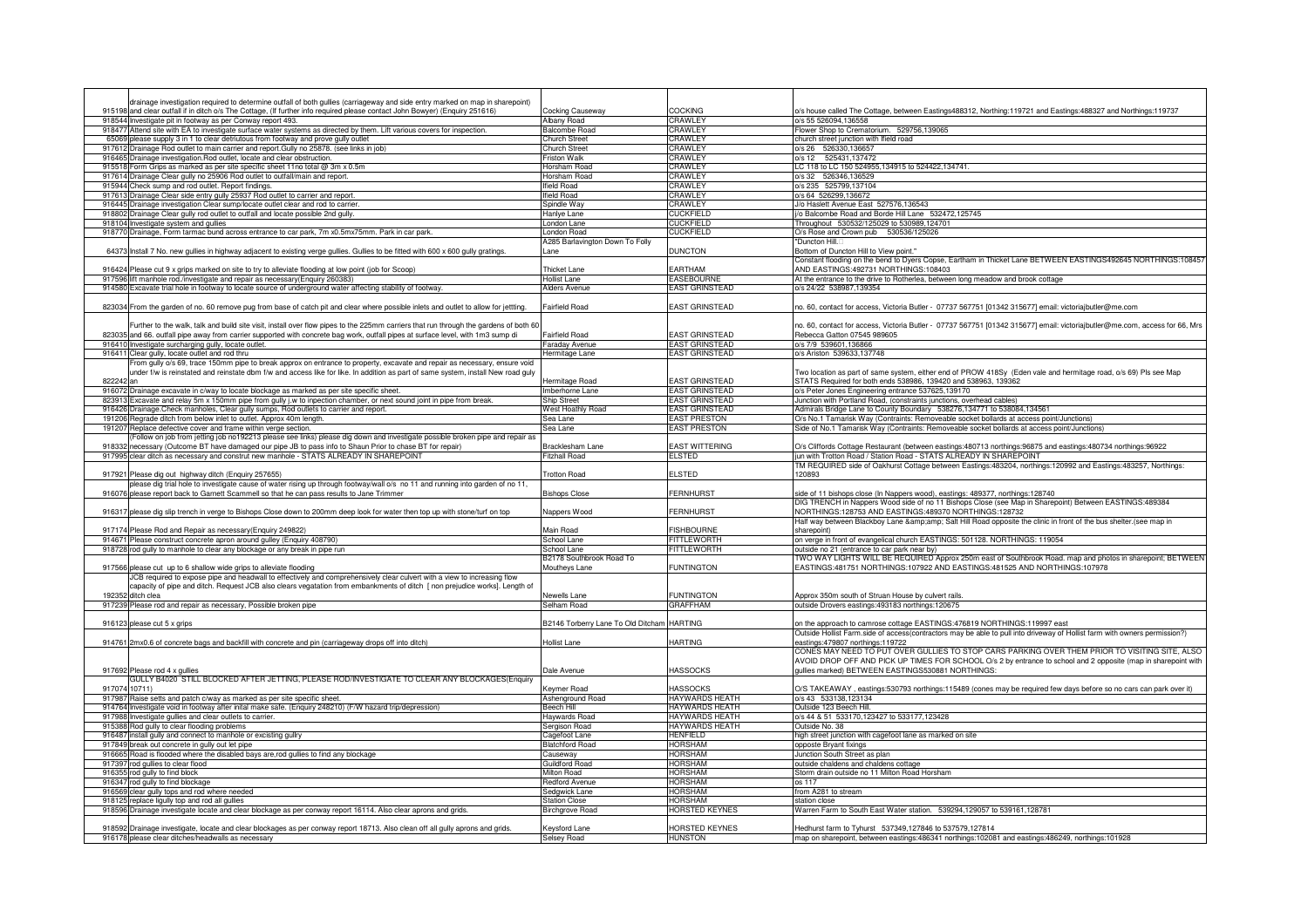| drainage investigation required to determine outfall of both gullies (carriageway and side entry marked on map in sharepoint)<br>915198 and clear outfall if in ditch o/s The Cottage, (If further info required please contact John Bowyer) (Enquiry 251616) | Cocking Causeway                           | COCKING                                        | o/s house called The Cottage, between Eastings488312, Northing:119721 and Eastings:488327 and Northings:119737                                                                          |
|---------------------------------------------------------------------------------------------------------------------------------------------------------------------------------------------------------------------------------------------------------------|--------------------------------------------|------------------------------------------------|-----------------------------------------------------------------------------------------------------------------------------------------------------------------------------------------|
| 918544 Investigate pit in footway as per Conway report 493.                                                                                                                                                                                                   | Albany Road                                | CRAWLEY                                        | o/s 55 526094.136558                                                                                                                                                                    |
| Attend site with EA to investigate surface water systems as directed by them. Lift various covers for inspection.<br>918477                                                                                                                                   | alcombe Road                               | <b>RAWLEY</b>                                  | Flower Shop to Crematorium. 529756,139065                                                                                                                                               |
| 65069 please supply 3 in 1 to clear detriutous from footway and prove gully outlet                                                                                                                                                                            | hurch Street                               | CRAWLEY                                        | church street junction with Ifield road                                                                                                                                                 |
| 917612 Drainage Rod outlet to main carrier and report. Gully no 25878. (see links in job)                                                                                                                                                                     | Church Street                              | CRAWLEY                                        | o/s 26 526330,136657                                                                                                                                                                    |
| 916465 Drainage investigation. Rod outlet, locate and clear obstruction.                                                                                                                                                                                      | riston Walk<br>Horsham Road                | CRAWLEY<br>CRAWLEY                             | o/s 12 525431,137472<br>LC 118 to LC 150 524955,134915 to 524422,134741.                                                                                                                |
| 915518 Form Grips as marked as per site specific sheet 11no total @ 3m x 0.5m<br>917614 Drainage Clear gully no 25906 Rod outlet to outfall/main and report.                                                                                                  | Horsham Road                               | <b>CRAWLEY</b>                                 | o/s 32 526346,136529                                                                                                                                                                    |
| Check sump and rod outlet. Report findings.<br>915944                                                                                                                                                                                                         | field Road                                 | CRAWLEY                                        | o/s 235 525799.137104                                                                                                                                                                   |
| Drainage Clear side entry gully 25937 Rod outlet to carrier and report.<br>917613                                                                                                                                                                             | ield Road                                  | CRAWLEY                                        | o/s 64 526299,136672                                                                                                                                                                    |
| 916445 Drainage investigation Clear sump/locate outlet clear and rod to carrier.                                                                                                                                                                              | Spindle Way                                | CRAWLEY                                        | J/o Haslett Avenue East 527576,136543                                                                                                                                                   |
| 918802 Drainage Clear gully rod outlet to outfall and locate possible 2nd gully.                                                                                                                                                                              | <b>Hanlye Lane</b>                         | <b>CUCKFIELD</b>                               | j/o Balcombe Road and Borde Hill Lane 532472,125745                                                                                                                                     |
| 918104 Investigate system and gullies                                                                                                                                                                                                                         | ondon Lane                                 | CUCKFIELD                                      | Throughout 530532/125029 to 530989,124701                                                                                                                                               |
| 918770 Drainage, Form tarmac bund across entrance to car park, 7m x0.5mx75mm. Park in car park.                                                                                                                                                               | London Road                                | <b>CUCKFIELD</b>                               | O/s Rose and Crown pub 530536/125026                                                                                                                                                    |
| 64373 Install 7 No. new gullies in highway adjacent to existing verge gullies. Gullies to be fitted with 600 x 600 gully gratings.                                                                                                                            | 4285 Barlavington Down To Folly<br>ane     | <b>DUNCTON</b>                                 | "Duncton Hill<br>Bottom of Duncton Hill to View point.'                                                                                                                                 |
|                                                                                                                                                                                                                                                               |                                            |                                                | Constant flooding on the bend to Dyers Copse, Eartham in Thicket Lane BETWEEN EASTINGS492645 NORTHINGS:108457                                                                           |
| 916424 Please cut 9 x grips marked on site to try to alleviate flooding at low point (job for Scoop)                                                                                                                                                          | <b>Thicket Lane</b>                        | <b>FARTHAM</b>                                 | AND EASTINGS:492731 NORTHINGS:108403                                                                                                                                                    |
| 917596 lift manhole rod./investigate and repair as necessary(Enguiry 260383)                                                                                                                                                                                  | <b>Hollist Lane</b>                        | <b>EASEBOURNE</b>                              | At the entrance to the drive to Rotherlea, between long meadow and brook cottage                                                                                                        |
| 914580 Excavate trial hole in footway to locate source of underground water affecting stability of footway.                                                                                                                                                   | <b>Alders Avenue</b>                       | <b>EAST GRINSTEAD</b>                          | o/s 24/22 538987,139354                                                                                                                                                                 |
|                                                                                                                                                                                                                                                               |                                            |                                                |                                                                                                                                                                                         |
| 823034 From the garden of no. 60 remove pug from base of catch pit and clear where possible inlets and outlet to allow for jettting.                                                                                                                          | <b>Fairfield Road</b>                      | <b>EAST GRINSTEAD</b>                          | no. 60, contact for access, Victoria Butler - 07737 567751 [01342 315677] email: victoriajbutler@me.com                                                                                 |
| Further to the walk, talk and build site visit, install over flow pipes to the 225mm carriers that run through the gardens of both 60                                                                                                                         |                                            |                                                | no. 60, contact for access, Victoria Butler - 07737 567751 [01342 315677] email: victoriajbutler@me.com, access for 66, Mrs                                                             |
| 823035 and 66. outfall pipe away from carrier supported with concrete bag work, outfall pipes at surface level, with 1m3 sump di                                                                                                                              | <b>Fairfield Road</b>                      | <b>EAST GRINSTEAD</b>                          | Rebecca Gatton 07545 989605                                                                                                                                                             |
| 916410 Investigate surcharging gully, locate outlet                                                                                                                                                                                                           | Faraday Avenue                             | <b>EAST GRINSTEAD</b>                          | o/s 7/9 539601,136866                                                                                                                                                                   |
| 916411 Clear gully, locate outlet and rod thru                                                                                                                                                                                                                | Iermitage Lane                             | <b>EAST GRINSTEAD</b>                          | o/s Ariston 539633,137748                                                                                                                                                               |
| From gully o/s 69, trace 150mm pipe to break approx on entrance to property, excavate and repair as necessary, ensure void                                                                                                                                    |                                            |                                                |                                                                                                                                                                                         |
| under f/w is reinstated and reinstate dbm f/w and access like for like. In addition as part of same system, install New road guly                                                                                                                             |                                            |                                                | Two location as part of same system, either end of PROW 418Sy (Eden vale and hermitage road, o/s 69) Pls see Map                                                                        |
| 822242 an                                                                                                                                                                                                                                                     | <b>Hermitage Road</b>                      | <b>EAST GRINSTEAD</b>                          | STATS Required for both ends 538986, 139420 and 538963, 139362                                                                                                                          |
| 916072 Drainage excavate in c/way to locate blockage as marked as per site specific sheet.                                                                                                                                                                    | Imberhorne Lane                            | <b>FAST GRINSTEAD</b>                          | o/s Peter Jones Engineering entrance 537625,139170                                                                                                                                      |
| 823913 Excavate and relay 5m x 150mm pipe from gully j.w to inpection chamber, or next sound joint in pipe from break                                                                                                                                         | <b>Ship Street</b><br>West Hoathly Road    | <b>EAST GRINSTEAD</b><br><b>EAST GRINSTEAD</b> | Junction with Portland Road, (constraints junctions, overhead cables)                                                                                                                   |
| 916426 Drainage. Check manholes, Clear gully sumps, Rod outlets to carrier and report.<br>191206 Regrade ditch from below inlet to outlet. Approx 40m length.                                                                                                 | Sea Lane                                   | <b>EAST PRESTON</b>                            | Admirals Bridge Lane to County Boundary 538276,134771 to 538084,134561<br>O/s No.1 Tamarisk Way (Contraints: Removeable socket bollards at access point/Junctions)                      |
| 191207<br>Replace defective cover and frame within verge section.                                                                                                                                                                                             | Sea Lane                                   | <b>EAST PRESTON</b>                            | Side of No.1 Tamarisk Way (Contraints: Removeable socket bollards at access point/Junctions)                                                                                            |
| follow on job from jetting job no192213 please see links) please dig down and investigate possible broken pipe and repair as                                                                                                                                  |                                            |                                                |                                                                                                                                                                                         |
| 918332 necessary (Outcome BT have damaged our pipe JB to pass info to Shaun Prior to chase BT for repair)                                                                                                                                                     | Bracklesham Lane                           | EAST WITTERING                                 | O/s Cliffords Cottage Restaurant (between eastings:480713 northings:96875 and eastings:480734 northings:96922                                                                           |
| 917995 clear ditch as necessary and construt new manhole - STATS ALREADY IN SHAREPOINT                                                                                                                                                                        | <b>Fitzhall Road</b>                       | <b>ELSTED</b>                                  | jun with Trotton Road / Station Road - STATS ALREADY IN SHAREPOINT                                                                                                                      |
|                                                                                                                                                                                                                                                               |                                            |                                                | TM REQUIRED side of Oakhurst Cottage between Eastings:483204, northings:120992 and Eastings:483257, Northings:                                                                          |
| 917921 Please dig out highway ditch (Enquiry 257655)                                                                                                                                                                                                          | <b>Trotton Road</b>                        | <b>ELSTED</b>                                  | 120893                                                                                                                                                                                  |
| olease dig trial hole to investigate cause of water rising up through footway/wall o/s no 11 and running into garden of no 11,<br>916076 please report back to Garnett Scammell so that he can pass results to Jane Trimmer                                   | <b>Bishops Close</b>                       | <b>FERNHURST</b>                               | side of 11 bishops close (In Nappers wood), eastings: 489377, northings:128740                                                                                                          |
|                                                                                                                                                                                                                                                               |                                            |                                                | DIG TRENCH in Nappers Wood side of no 11 Bishops Close (see Map in Sharepoint) Between EASTINGS:489384                                                                                  |
| 916317 please dig slip trench in verge to Bishops Close down to 200mm deep look for water then top up with stone/turf on top                                                                                                                                  | Nappers Wood                               | <b>FERNHURST</b>                               | NORTHINGS:128753 AND EASTINGS:489370 NORTHINGS:128732                                                                                                                                   |
|                                                                                                                                                                                                                                                               |                                            |                                                | Half way between Blackboy Lane & Salt Hill Road opposite the clinic in front of the bus shelter.(see map in                                                                             |
| 917174 Please Rod and Repair as necessary(Enquiry 249822)                                                                                                                                                                                                     | Main Road                                  | <b>FISHBOURNE</b>                              | sharepoint)                                                                                                                                                                             |
| 914671 Please construct concrete apron around gulley (Enquiry 408790)                                                                                                                                                                                         | School Lane                                | FITTLEWORTH                                    | on verge in front of evangelical church EASTINGS: 501128. NORTHINGS: 119054                                                                                                             |
| 918728 rod gully to manhole to clear any blockage or any break in pipe run                                                                                                                                                                                    | School Lane                                | <b>ITTLEWORTH</b>                              | outside no 21 (entrance to car park near by)                                                                                                                                            |
| 917566 please cut up to 6 shallow wide grips to alleviate flooding                                                                                                                                                                                            | 32178 Southbrook Road To<br>Moutheys Lane  | <b>FUNTINGTON</b>                              | TWO WAY LIGHTS WILL BE REQUIRED Approx 250m east of Southbrook Road. map and photos in sharepoint; BETWEEN<br>EASTINGS:481751 NORTHINGS:107922 AND EASTINGS:481525 AND NORTHINGS:107978 |
| JCB required to expose pipe and headwall to effectively and comprehensively clear culvert with a view to increasing flow                                                                                                                                      |                                            |                                                |                                                                                                                                                                                         |
| capacity of pipe and ditch. Request JCB also clears vegatation from embankments of ditch [non prejudice works]. Length of                                                                                                                                     |                                            |                                                |                                                                                                                                                                                         |
| 192352 ditch clea                                                                                                                                                                                                                                             | <b>Vewells Lane</b>                        | <b>FUNTINGTON</b>                              | Approx 350m south of Struan House by culvert rails                                                                                                                                      |
| 917239 Please rod and repair as necessary, Possible broken pipe                                                                                                                                                                                               | Selham Road                                | <b>GRAFFHAM</b>                                | outside Drovers eastings: 493183 northings: 120675                                                                                                                                      |
|                                                                                                                                                                                                                                                               |                                            |                                                |                                                                                                                                                                                         |
| 916123 please cut 5 x grips                                                                                                                                                                                                                                   | B2146 Torberry Lane To Old Ditcham HARTING |                                                | on the approach to camrose cottage EASTINGS:476819 NORTHINGS:119997 east                                                                                                                |
| 914761 2mx0.6 of concrete bags and backfill with concrete and pin (carriageway drops off into ditch)                                                                                                                                                          | Hollist Lane                               | <b>HARTING</b>                                 | Outside Hollist Farm.side of access(contractors may be able to pull into driveway of Hollist farm with owners permission?)<br>eastings:479807 northings:119722                          |
|                                                                                                                                                                                                                                                               |                                            |                                                | CONES MAY NEED TO PUT OVER GULLIES TO STOP CARS PARKING OVER THEM PRIOR TO VISITING SITE, ALSO                                                                                          |
|                                                                                                                                                                                                                                                               |                                            |                                                | AVOID DROP OFF AND PICK UP TIMES FOR SCHOOL O/s 2 by entrance to school and 2 opposite (map in sharepoint with                                                                          |
| 917692 Please rod 4 x gullies                                                                                                                                                                                                                                 | Dale Avenue                                | <b>HASSOCKS</b>                                | gullies marked) BETWEEN EASTINGS530881 NORTHINGS:                                                                                                                                       |
| GULLY B4020 STILL BLOCKED AFTER JETTING, PLEASE ROD/INVESTIGATE TO CLEAR ANY BLOCKAGES(Enquiry                                                                                                                                                                |                                            |                                                |                                                                                                                                                                                         |
| 917074 10711)                                                                                                                                                                                                                                                 | <b>Ceymer Road</b>                         | <b>HASSOCKS</b>                                | O/S TAKEAWAY, eastings:530793 northings:115489 (cones may be required few days before so no cars can park over it)                                                                      |
| 917987 Raise setts and patch c/way as marked as per site specific sheet.                                                                                                                                                                                      | Ashenground Road                           | <b>HAYWARDS HEATH</b>                          | o/s 43 533138,123134                                                                                                                                                                    |
| 914764 Investigate void in footway after inital make safe. (Enguiry 248210) (F/W hazard trip/depression)                                                                                                                                                      | Beech Hill                                 | <b>HAYWARDS HEATH</b>                          | Outside 123 Beech Hill.                                                                                                                                                                 |
| 917988 Investigate gullies and clear outlets to carrier.<br>915388<br>Rod gully to clear flooding problems                                                                                                                                                    | Haywards Road                              | <b>HAYWARDS HEATH</b><br><b>HAYWARDS HEATH</b> | o/s 44 & 51 533170,123427 to 533177,123428<br>Outside No. 38                                                                                                                            |
| install gully and connect to manhole or excisting gullry<br>916487                                                                                                                                                                                            | Sergison Road<br>Cagefoot Lane             | <b>HENFIELD</b>                                | high street junction with cagefoot lane as marked on site                                                                                                                               |
| 917849 break out concrete in gully out let pipe                                                                                                                                                                                                               | <b>Iatchford Road</b>                      | HORSHAM                                        | opposte Bryant fixings                                                                                                                                                                  |
| 916665 Road is flooded where the disabled bays are, rod gullies to find any blockage                                                                                                                                                                          | auseway                                    | <b>HORSHAM</b>                                 | Junction South Street as plan                                                                                                                                                           |
| 917397 rod gullies to clear flood                                                                                                                                                                                                                             | Guildford Road                             | HORSHAM                                        | outside chaldens and chaldens cottage                                                                                                                                                   |
| 916355 rod gully to find block                                                                                                                                                                                                                                | Milton Road                                | HORSHAM                                        | Storm drain outside no 11 Milton Road Horsham                                                                                                                                           |
| 916347 rod gully to find blockage                                                                                                                                                                                                                             | Redford Avenue                             | HORSHAM                                        | os 117                                                                                                                                                                                  |
| 916569 clear gully tops and rod where needed<br>918125 replace liqully top and rod all quilies                                                                                                                                                                | Sedgwick Lane<br><b>Station Close</b>      | <b>HORSHAM</b><br><b>IORSHAM</b>               | from A281 to stream<br>station close                                                                                                                                                    |
| Drainage investigate locate and clear blockage as per conway report 16114. Also clear aprons and grids.<br>918596                                                                                                                                             | <b>Bircharove Road</b>                     | HORSTED KEYNES                                 | Warren Farm to South East Water station. 539294,129057 to 539161,128781                                                                                                                 |
|                                                                                                                                                                                                                                                               |                                            |                                                |                                                                                                                                                                                         |
| 918592 Drainage investigate, locate and clear blockages as per conway report 18713. Also clean off all gully aprons and grids.                                                                                                                                | Kevsford Lane                              | <b>IORSTED KEYNES</b>                          | Hedhurst farm to Tyhurst 537349,127846 to 537579,127814                                                                                                                                 |
| 916178 please clear ditches/headwalls as necessary                                                                                                                                                                                                            | <b>Selsey Road</b>                         | <b>HUNSTON</b>                                 | map on sharepoint, between eastings:486341 northings:102081 and eastings:486249, northings:101928                                                                                       |
|                                                                                                                                                                                                                                                               |                                            |                                                |                                                                                                                                                                                         |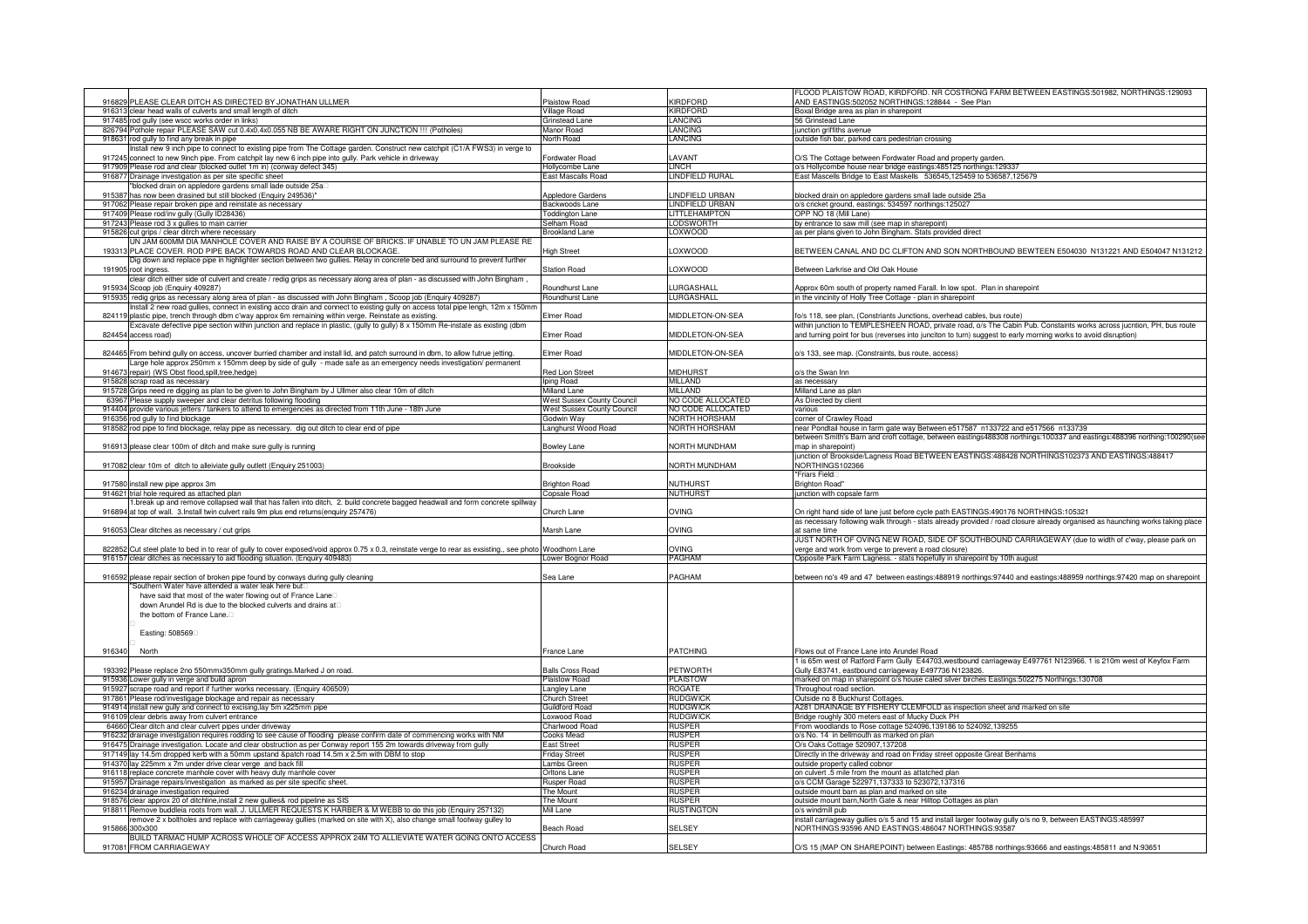|        | 916829 PLEASE CLEAR DITCH AS DIRECTED BY JONATHAN ULLMER                                                                                                                                                                                             | Plaistow Road                     | KIRDFORD                           | ELOOD PLAISTOW ROAD, KIRDFORD. NR COSTRONG FARM BETWEEN EASTINGS:501982, NORTHINGS:129093<br>AND EASTINGS:502052 NORTHINGS:128844 - See Plan |
|--------|------------------------------------------------------------------------------------------------------------------------------------------------------------------------------------------------------------------------------------------------------|-----------------------------------|------------------------------------|----------------------------------------------------------------------------------------------------------------------------------------------|
|        | 916313 clear head walls of culverts and small length of ditch                                                                                                                                                                                        | <b>Village Road</b>               | <b>KIRDFORD</b>                    | Boxal Bridge area as plan in sharepoint                                                                                                      |
|        | 917485 rod gully (see wscc works order in links)                                                                                                                                                                                                     | Grinstead Lane                    | <b>LANCING</b>                     | 56 Grinstead Lane                                                                                                                            |
|        | 826794 Pothole repair PLEASE SAW cut 0.4x0.4x0.055 NB BE AWARE RIGHT ON JUNCTION !!! (Potholes)                                                                                                                                                      | Manor Road                        | LANCING                            | unction griffiths avenue                                                                                                                     |
|        | 918631 rod gully to find any break in pipe                                                                                                                                                                                                           | North Road                        | <b>LANCING</b>                     | outside fish bar, parked cars pedestrian crossing                                                                                            |
|        | nstall new 9 inch pipe to connect to existing pipe from The Cottage garden. Construct new catchpit (C1/A FWS3) in verge to                                                                                                                           |                                   | <b>LAVANT</b>                      |                                                                                                                                              |
|        | 917245 connect to new 9inch pipe. From catchpit lay new 6 inch pipe into gully. Park vehicle in driveway<br>917909 Please rod and clear (blocked outlet 1m in) (conway defect 345)                                                                   | Fordwater Road<br>Hollycombe Lane | LINCH                              | O/S The Cottage between Fordwater Road and property garder<br>o/s Hollycombe house near bridge eastings:485125 northings:129337              |
|        | 916877 Drainage investigation as per site specific sheet                                                                                                                                                                                             | East Mascalls Road                | <b>LINDFIELD RURAL</b>             | East Mascells Bridge to East Maskells 536545,125459 to 536587,125679                                                                         |
|        | blocked drain on appledore gardens small lade outside 25a                                                                                                                                                                                            |                                   |                                    |                                                                                                                                              |
| 91538  | has now been drasined but still blocked (Enquiry 249536)"                                                                                                                                                                                            | Appledore Gardens                 | INDFIELD URBAN                     | blocked drain on appledore gardens small lade outside 25a                                                                                    |
| 917062 | Please repair broken pipe and reinstate as necessary                                                                                                                                                                                                 | Backwoods Lane                    | LINDFIELD URBAN                    | o/s cricket ground, eastings: 534597 northings:125027                                                                                        |
|        | 917409 Please rod/inv gully (Gully ID28436)                                                                                                                                                                                                          | oddington Lane                    | <b>LITTLEHAMPTON</b>               | OPP NO 18 (Mill Lane)                                                                                                                        |
|        | 917243 Please rod 3 x gullies to main carrier<br>915826 cut grips / clear ditrch where necessary                                                                                                                                                     | Selham Road<br>Brookland Lane     | <b>LODSWORTH</b><br>LOXWOOD        | by entrance to saw mill (see map in sharepoint)<br>as per plans given to John Bingham. Stats provided direct                                 |
|        | UN JAM 600MM DIA MANHOLE COVER AND RAISE BY A COURSE OF BRICKS. IF UNABLE TO UN JAM PLEASE RE                                                                                                                                                        |                                   |                                    |                                                                                                                                              |
| 19331  | PLACE COVER. ROD PIPE BACK TOWARDS ROAD AND CLEAR BLOCKAGE.                                                                                                                                                                                          | <b>High Street</b>                | OXWOOD.                            | BETWEEN CANAL AND DC CLIFTON AND SON NORTHBOUND BEWTEEN E504030 N131221 AND E504047 N131212                                                  |
|        | Dig down and replace pipe in highlighter section between two gullies. Relay in concrete bed and surround to prevent further                                                                                                                          |                                   |                                    |                                                                                                                                              |
| 19190  | 5 root ingress.                                                                                                                                                                                                                                      | <b>Station Road</b>               | LOXWOOD                            | Between Larkrise and Old Oak House                                                                                                           |
|        | clear ditch either side of culvert and create / redig grips as necessary along area of plan - as discussed with John Bingham,                                                                                                                        | Roundhurst Lane                   | <b>IIRGASHALL</b>                  |                                                                                                                                              |
|        | 915934 Scoop job (Enquiry 409287)<br>915935 redig grips as necessary along area of plan - as discussed with John Bingham, Scoop job (Enquiry 409287)                                                                                                 | Roundhurst Lane                   | LURGASHALL                         | Approx 60m south of property named Farall. In low spot. Plan in sharepoint<br>in the vincinity of Holly Tree Cottage - plan in sharepoint    |
|        | istall 2 new road gullies, connect in existing acco drain and connect to existing gully on access total pipe lengh, 12m x 150mn                                                                                                                      |                                   |                                    |                                                                                                                                              |
| 82411  | plastic pipe, trench through dbm c'way approx 6m remaining within verge. Reinstate as existing.                                                                                                                                                      | Elmer Road                        | MIDDLETON-ON-SEA                   | fo/s 118, see plan, (Constriants Junctions, overhead cables, bus route)                                                                      |
|        | Excavate defective pipe section within junction and replace in plastic, (gully to gully) 8 x 150mm Re-instate as existing (dbm                                                                                                                       |                                   |                                    | within junction to TEMPLESHEEN ROAD, private road, o/s The Cabin Pub. Constaints works across jucntion, PH, bus route                        |
|        | 824454 access road)                                                                                                                                                                                                                                  | Elmer Road                        | MIDDLETON-ON-SEA                   | and turning point for bus (reverses into junciton to turn) suggest to early morning works to avoid disruption)                               |
|        |                                                                                                                                                                                                                                                      | Elmer Road                        | <b>MIDDLETON-ON-SEA</b>            | o/s 133, see map. (Constraints, bus route, access)                                                                                           |
|        | 824465 From behind gully on access, uncover burried chamber and install lid, and patch surround in dbm, to allow futrue jetting.<br>arge hole approx 250mm x 150mm deep by side of gully - made safe as an emergency needs investigation/ permanent. |                                   |                                    |                                                                                                                                              |
| 914673 | repair) (WS Obst flood, spill, tree, hedge)                                                                                                                                                                                                          | Red Lion Street                   | <b>MIDHURST</b>                    | o/s the Swan Inn                                                                                                                             |
|        | 915828 scrap road as necessary                                                                                                                                                                                                                       | ping Road                         | MILLAND                            | as necessary                                                                                                                                 |
|        | 915728 Grips need re digging as plan to be given to John Bingham by J Ullmer also clear 10m of ditch                                                                                                                                                 | Milland Lane                      | MILLAND                            | Milland Lane as plan                                                                                                                         |
|        | 63967 Please supply sweeper and clear detritus following flooding                                                                                                                                                                                    | Vest Sussex County Council        | NO CODE ALLOCATED                  | As Directed by client                                                                                                                        |
|        | 914404 provide various jetters / tankers to attend to emergencies as directed from 11th June - 18th June                                                                                                                                             | <b>Nest Sussex County Council</b> | NO CODE ALLOCATED<br>NORTH HORSHAM | various                                                                                                                                      |
|        | 916356 rod gully to find blockage<br>918582 rod pipe to find blockage, relay pipe as necessary. dig out ditch to clear end of pipe                                                                                                                   | Godwin Wav<br>Langhurst Wood Road | NORTH HORSHAM                      | corner of Crawley Road<br>near Pondtail house in farm gate way Between e517587 n133722 and e517566 n133739                                   |
|        |                                                                                                                                                                                                                                                      |                                   |                                    | between Smith's Barn and croft cottage, between eastings488308 northings:100337 and eastings:488396 northing:100290(see                      |
|        | 916913 please clear 100m of ditch and make sure gully is running                                                                                                                                                                                     | Bowley Lane                       | NORTH MUNDHAM                      | map in sharepoint)                                                                                                                           |
|        |                                                                                                                                                                                                                                                      |                                   |                                    | junction of Brookside/Lagness Road BETWEEN EASTINGS:488428 NORTHINGS102373 AND EASTINGS:488417                                               |
|        | 917082 clear 10m of ditch to alleiviate gully outlett (Enquiry 251003)                                                                                                                                                                               | Brookside                         | NORTH MUNDHAM                      | NORTHINGS102366                                                                                                                              |
|        |                                                                                                                                                                                                                                                      |                                   |                                    | "Friars Field                                                                                                                                |
|        |                                                                                                                                                                                                                                                      |                                   |                                    |                                                                                                                                              |
|        | 917580 install new pipe approx 3m                                                                                                                                                                                                                    | <b>Brighton Road</b>              | <b>NUTHURST</b>                    | <b>Brighton Road</b>                                                                                                                         |
|        | 914621 trial hole required as attached plan                                                                                                                                                                                                          | Copsale Road                      | <b>NUTHURST</b>                    | junction with copsale farm                                                                                                                   |
| 91689  | break up and remove collapsed wall that has fallen into ditch, 2. build concrete bagged headwall and form concrete spillway.<br>at top of wall. 3.Install twin culvert rails 9m plus end returns(enquiry 257476)                                     | Church Lane                       | OVING                              | On right hand side of lane just before cycle path EASTINGS:490176 NORTHINGS:105321                                                           |
|        |                                                                                                                                                                                                                                                      |                                   |                                    | as necessary following walk through - stats already provided / road closure already organised as haunching works taking place                |
|        | 916053 Clear ditches as necessary / cut grips                                                                                                                                                                                                        | Marsh Lane                        | OVING                              | at same time                                                                                                                                 |
|        |                                                                                                                                                                                                                                                      |                                   |                                    | JUST NORTH OF OVING NEW ROAD, SIDE OF SOUTHBOUND CARRIAGEWAY (due to width of c'way, please park on                                          |
|        | 822852 Cut steel plate to bed in to rear of gully to cover exposed/void approx 0.75 x 0.3, reinstate verge to rear as exsisting., see photo Woodhorn Lane                                                                                            |                                   | <b>DVING</b><br>PAGHAM             | verge and work from verge to prevent a road closure)                                                                                         |
|        | 916157 clear ditches as necessary to aid flooding situation. (Enquiry 409483)                                                                                                                                                                        | ower Bognor Road                  |                                    | Opposite Park Farm Lagness. - stats hopefully in sharepoint by 10th august                                                                   |
|        | 916592 please repair section of broken pipe found by conways during gully cleaning                                                                                                                                                                   | Sealane                           | PAGHAM                             | between no's 49 and 47 between eastings:488919 northings:97440 and eastings:488959 northings:97420 map on sharepoint                         |
|        | Southern Water have attended a water leak here but                                                                                                                                                                                                   |                                   |                                    |                                                                                                                                              |
|        | have said that most of the water flowing out of France Lane                                                                                                                                                                                          |                                   |                                    |                                                                                                                                              |
|        | down Arundel Rd is due to the blocked culverts and drains at                                                                                                                                                                                         |                                   |                                    |                                                                                                                                              |
|        | the bottom of France Lane.                                                                                                                                                                                                                           |                                   |                                    |                                                                                                                                              |
|        | Easting: 508569                                                                                                                                                                                                                                      |                                   |                                    |                                                                                                                                              |
|        |                                                                                                                                                                                                                                                      |                                   |                                    |                                                                                                                                              |
| 916340 | North                                                                                                                                                                                                                                                | France Lane                       | PATCHING                           | Flows out of France Lane into Arundel Road                                                                                                   |
|        |                                                                                                                                                                                                                                                      |                                   |                                    | I is 65m west of Ratford Farm Gully E44703,westbound carriageway E497761 N123966. 1 is 210m west of Keyfox Farm                              |
|        | 193392 Please replace 2no 550mmx350mm gully gratings. Marked J on road.                                                                                                                                                                              | <b>Balls Cross Road</b>           | <b>PETWORTH</b>                    | Gully E83741, eastbound carriageway E497736 N123826                                                                                          |
|        | 915936 Lower gully in verge and build apron                                                                                                                                                                                                          | Plaistow Road                     | <b>PLAISTOW</b><br><b>ROGATE</b>   | marked on map in sharepoint o/s house caled silver birches Eastings:502275 Northings:130708                                                  |
|        | 915927 scrape road and report if further works necessary. (Enquiry 406509)<br>917861 Please rod/investigage blockage and repair as necessary                                                                                                         | Langley Lane<br>Church Street     | <b>RUDGWICK</b>                    | Throughout road section.<br>Outside no 8 Buckhurst Cottages                                                                                  |
|        | 914914 install new gully and connect to excising, lay 5m x225mm pipe                                                                                                                                                                                 | <b>Guildford Road</b>             | <b>RUDGWICK</b>                    | A281 DRAINAGE BY FISHERY CLEMFOLD as inspection sheet and marked on site                                                                     |
| 91610  | lear debris away from culvert entrance                                                                                                                                                                                                               | oxwood Road                       | <b>RUDGWICK</b>                    | Bridge roughly 300 meters east of Mucky Duck PH                                                                                              |
|        | 64660 Clear ditch and clear culvert pipes under driveway                                                                                                                                                                                             | Charlwood Road                    | <b>RUSPER</b>                      | From woodlands to Rose cottage 524096,139186 to 524092,139255                                                                                |
|        | 916232 drainage investigation requires rodding to see cause of flooding please confirm date of commencing works with NM                                                                                                                              | Cooks Mead                        | <b>RUSPER</b>                      | o/s No. 14 in bellmouth as marked on plan                                                                                                    |
|        | 916475 Drainage investigation. Locate and clear obstruction as per Conway report 155 2m towards driveway from gully                                                                                                                                  | East Street<br>Fridav Street      | <b>RUSPER</b><br><b>RUSPER</b>     | O/s Oaks Cottage 520907,137208                                                                                                               |
| 91437  | 917149 lay 14.5m dropped kerb with a 50mm upstand &patch road 14.5m x 2.5m with DBM to stop<br>lay 225mm x 7m under drive clear verge and back fill                                                                                                  | Lambs Green                       | <b>RUSPER</b>                      | Directly in the driveway and road on Friday street opposite Great Benhams<br>outside property called cobnor                                  |
| 916118 | replace concrete manhole cover with heavy duty manhole cover                                                                                                                                                                                         | Orltons Lane                      | <b>RUSPER</b>                      | on culvert .5 mile from the mount as attatched plan                                                                                          |
|        | 915957 Drainage repairs/investigation as marked as per site specific sheet                                                                                                                                                                           | Rusper Road                       | <b>RUSPER</b>                      | o/s CCM Garage 522971,137333 to 523072,137316                                                                                                |
|        | 916234 drainage investigation required                                                                                                                                                                                                               | he Mount                          | <b>RUSPER</b>                      | outside mount barn as plan and marked on site                                                                                                |
|        | 918576 clear approx 20 of ditchline, install 2 new gullies& rod pipeline as SIS                                                                                                                                                                      | The Mount<br>Mill Lane            | <b>RUSPER</b><br><b>RUSTINGTON</b> | outside mount barn, North Gate & near Hilltop Cottages as plan<br>o/s windmill pub                                                           |
|        | 918811 Remove buddleia roots from wall. J. ULLMER REQUESTS K HARBER & M WEBB to do this job (Enquiry 257132)<br>emove 2 x boltholes and replace with carriageway gullies (marked on site with X), also change small footway gulley to                |                                   |                                    | install carriageway gullies o/s 5 and 15 and install larger footway gully o/s no 9, between EASTINGS:485997                                  |
| 915866 | 300x300                                                                                                                                                                                                                                              | Beach Road                        | <b>SELSEY</b>                      | NORTHINGS:93596 AND EASTINGS:486047 NORTHINGS:93587                                                                                          |
|        | BUILD TARMAC HUMP ACROSS WHOLE OF ACCESS APPROX 24M TO ALLIEVIATE WATER GOING ONTO ACCESS<br>917081 FROM CARRIAGEWAY                                                                                                                                 | Church Road                       | <b>SELSEY</b>                      | O/S 15 (MAP ON SHAREPOINT) between Eastings: 485788 northings:93666 and eastings:485811 and N:93651                                          |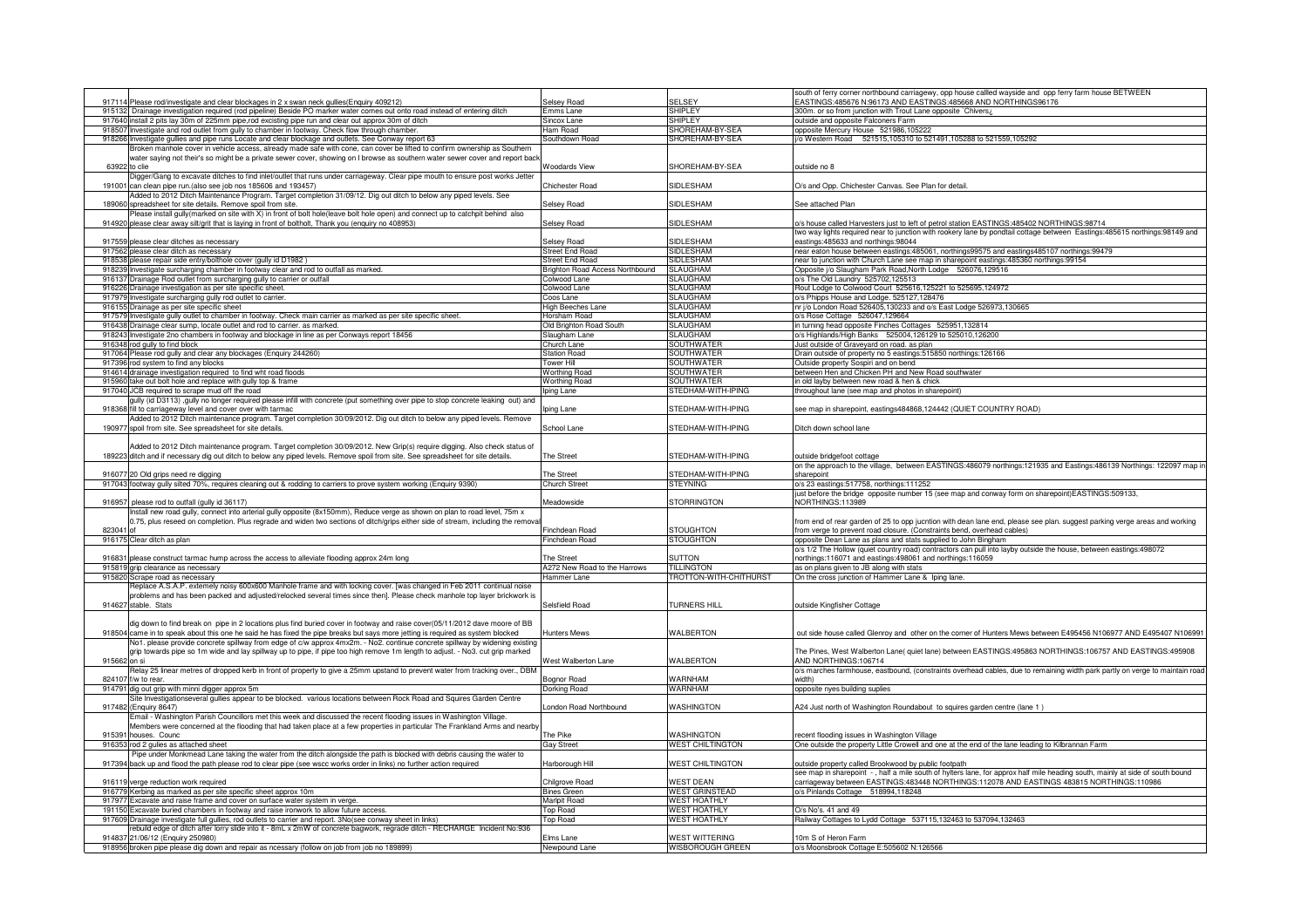|               | 917114 Please rod/investigate and clear blockages in 2 x swan neck gullies(Enquiry 409212)                                                                                                                                                       | Selsey Road                               | <b>SELSEY</b>                              | south of ferry corner northbound carriagewy, opp house callled wayside and opp ferry farm house BETWEEN<br>EASTINGS:485676 N:96173 AND EASTINGS:485668 AND NORTHINGS96176 |
|---------------|--------------------------------------------------------------------------------------------------------------------------------------------------------------------------------------------------------------------------------------------------|-------------------------------------------|--------------------------------------------|---------------------------------------------------------------------------------------------------------------------------------------------------------------------------|
|               | 915132 Drainage investigation required (rod pipeline) Beside PO marker water comes out onto road instead of entering ditch                                                                                                                       | Emms Lane                                 | <b>SHIPLEY</b>                             | 300m. or so from junction with Trout Lane opposite `Chivers;                                                                                                              |
|               | 917640 install 2 pits lay 30m of 225mm pipe, rod excisting pipe run and clear out approx 30m of ditch                                                                                                                                            | Sincox Lane                               | <b>SHIPLEY</b>                             | outside and opposite Falconers Farm                                                                                                                                       |
|               | 918507 Investigate and rod outlet from gully to chamber in footway. Check flow through chamber.                                                                                                                                                  | Ham Road                                  | SHOREHAM-BY-SEA                            | opposite Mercury House 521986,105222                                                                                                                                      |
|               | 918266 Investigate gullies and pipe runs Locate and clear blockage and outlets. See Conway report 63                                                                                                                                             | Southdown Road                            | SHOREHAM-BY-SEA                            | i/o Western Road 521515,105310 to 521491,105288 to 521559,105292                                                                                                          |
|               | Iroken manhole cover in vehicle access, already made safe with cone, can cover be lifted to confirm ownership as Southern                                                                                                                        |                                           |                                            |                                                                                                                                                                           |
|               | water saying not their's so might be a private sewer cover, showing on I browse as southern water sewer cover and report back                                                                                                                    |                                           |                                            |                                                                                                                                                                           |
| 63922 to clie |                                                                                                                                                                                                                                                  | <b>Woodards View</b>                      | SHOREHAM-BY-SEA                            | nutside no 8                                                                                                                                                              |
|               | Digger/Gang to excavate ditches to find inlet/outlet that runs under carriageway. Clear pipe mouth to ensure post works Jetter                                                                                                                   |                                           |                                            |                                                                                                                                                                           |
|               | 191001 can clean pipe run.(also see job nos 185606 and 193457)                                                                                                                                                                                   | Chichester Road                           | SIDLESHAM                                  | O/s and Opp. Chichester Canvas. See Plan for detail                                                                                                                       |
|               | Added to 2012 Ditch Maintenance Program. Target completion 31/09/12. Dig out ditch to below any piped levels. See                                                                                                                                |                                           |                                            |                                                                                                                                                                           |
|               | 189060 spreadsheet for site details. Remove spoil from site.                                                                                                                                                                                     | Selsey Road                               | SIDLESHAM                                  | See attached Plan                                                                                                                                                         |
|               | elease install gully(marked on site with X) in front of bolt hole(leave bolt hole open) and connect up to catchpit behind also                                                                                                                   |                                           |                                            |                                                                                                                                                                           |
|               | 914920 please clear away silt/grit that is laying in front of boltholt, Thank you (enquiry no 408953)                                                                                                                                            | Selsey Road                               | SIDLESHAM                                  | o/s house called Harvesters just to left of petrol station EASTINGS:485402 NORTHINGS:98714                                                                                |
|               |                                                                                                                                                                                                                                                  |                                           |                                            | two way lights required near to junction with rookery lane by pondtail cottage between Eastings:485615 northings:98149 and                                                |
|               | 917559 please clear ditches as necessary                                                                                                                                                                                                         | Selsey Road                               | SIDLESHAM                                  | astings: 485633 and northings: 98044                                                                                                                                      |
|               | 917562 please clear ditch as necessary                                                                                                                                                                                                           | <b>Street End Road</b>                    | SIDLESHAM                                  | near eaton house between eastings:485061, northings99575 and eastings485107 northings:99479                                                                               |
|               | 918538 please repair side entry/bolthole cover (gully id D1982)                                                                                                                                                                                  | Street Fnd Road                           | SIDI ESHAM                                 | near to junction with Church Lane see map in sharepoint eastings: 485360 northings: 99154                                                                                 |
|               | 918239 Investigate surcharging chamber in footway clear and rod to outfall as marked.                                                                                                                                                            | Brighton Road Access Northbound           | <b>SLAUGHAM</b>                            | Opposite j/o Slaugham Park Road, North Lodge 526076, 129516                                                                                                               |
|               | 916137 Drainage Rod outlet from surcharging gully to carrier or outfall                                                                                                                                                                          | Colwood Lane                              | <b>SLAUGHAM</b>                            | o/s The Old Laundry 525702,125513                                                                                                                                         |
|               | 916226 Drainage investigation as per site specific sheet.                                                                                                                                                                                        | Colwood Lane                              | SLAUGHAM                                   | Rout Lodge to Colwood Court 525616,125221 to 525695,124972                                                                                                                |
| 91797         | ivestigate surcharging gully rod outlet to carrier.                                                                                                                                                                                              | Coos Lane                                 | <b>SLAUGHAM</b>                            | o/s Phipps House and Lodge. 525127,128476                                                                                                                                 |
| 916155        | Drainage as per site specific sheet                                                                                                                                                                                                              | ligh Beeches Lane                         | <b>SLAUGHAM</b>                            | nr j/o London Road 526405,130233 and o/s East Lodge 526973,130665                                                                                                         |
|               | 917579 Investigate gully outlet to chamber in footway. Check main carrier as marked as per site specific sheet.                                                                                                                                  | Horsham Road                              | <b>SLAUGHAM</b>                            | o/s Rose Cottage 526047,129664                                                                                                                                            |
|               | 916438 Drainage clear sump, locate outlet and rod to carrier. as marked.                                                                                                                                                                         | <b>Old Brighton Road South</b>            | <b>SLAUGHAM</b>                            | in turning head opposite Finches Cottages 525951,132814                                                                                                                   |
|               | 918243 Investigate 2no chambers in footway and blockage in line as per Conways report 18456<br>916348 rod gully to find block                                                                                                                    | Slaugham Lane<br>Church Lane              | <b>SLAUGHAM</b><br><b>SOUTHWATER</b>       | o/s Highlands/High Banks 525004,126129 to 525010,126200                                                                                                                   |
|               |                                                                                                                                                                                                                                                  |                                           |                                            | Just outside of Graveyard on road. as plan                                                                                                                                |
|               | 917064 Please rod gully and clear any blockages (Enquiry 244260)                                                                                                                                                                                 | <b>Itation Road</b>                       | <b>SOUTHWATER</b>                          | Drain outside of property no 5 eastings:515850 northings:126166                                                                                                           |
|               | 917396 rod system to find any blocks<br>914614 drainage investigation required to find wht road floods                                                                                                                                           | <b>Tower Hill</b><br><b>Worthing Road</b> | <b>SOUTHWATER</b><br><b>SOUTHWATER</b>     | Outside property Sospiri and on bend<br>between Hen and Chicken PH and New Road southwater                                                                                |
|               |                                                                                                                                                                                                                                                  |                                           |                                            |                                                                                                                                                                           |
|               | 915960 take out bolt hole and replace with gully top & frame                                                                                                                                                                                     | <b>Worthing Road</b>                      | SOUTHWATER<br>STEDHAM-WITH-IPING           | in old layby between new road & hen & chick                                                                                                                               |
|               | 917040 JCB required to scrape mud off the road                                                                                                                                                                                                   | ping Lane                                 |                                            | throughout lane (see map and photos in sharepoint)                                                                                                                        |
|               | ully (id D3113) ,gully no longer required please infill with concrete (put something over pipe to stop concrete leaking out) and                                                                                                                 |                                           |                                            |                                                                                                                                                                           |
|               | 918368 fill to carriageway level and cover over with tarmac<br>Added to 2012 Ditch maintenance program. Target completion 30/09/2012. Dig out ditch to below any piped levels. Remove                                                            | pina Lane                                 | STEDHAM-WITH-IPING                         | see map in sharepoint, eastings484868,124442 (QUIET COUNTRY ROAD)                                                                                                         |
|               | 190977 spoil from site. See spreadsheet for site details.                                                                                                                                                                                        | School Lane                               | STEDHAM-WITH-IPING                         | Ditch down school lane                                                                                                                                                    |
|               |                                                                                                                                                                                                                                                  |                                           |                                            |                                                                                                                                                                           |
|               | Added to 2012 Ditch maintenance program. Target completion 30/09/2012. New Grip(s) require digging. Also check status of                                                                                                                         |                                           |                                            |                                                                                                                                                                           |
| 18922         | ditch and if necessary dig out ditch to below any piped levels. Remove spoil from site. See spreadsheet for site details                                                                                                                         | The Street                                | STEDHAM-WITH-IPING                         | outside bridgefoot cottage                                                                                                                                                |
|               |                                                                                                                                                                                                                                                  |                                           |                                            | on the approach to the village, between EASTINGS:486079 northings:121935 and Eastings:486139 Northings: 122097 map in                                                     |
|               | 916077 20 Old grips need re digging                                                                                                                                                                                                              | The Street                                | STEDHAM-WITH-IPING                         | sharepoint                                                                                                                                                                |
|               | 917043 footway gully silted 70%, requires cleaning out & rodding to carriers to prove system working (Enquiry 9390)                                                                                                                              | <b>Church Street</b>                      | <b>STEYNING</b>                            | o/s 23 eastings:517758, northings:111252                                                                                                                                  |
|               |                                                                                                                                                                                                                                                  |                                           |                                            | just before the bridge opposite number 15 (see map and conway form on sharepoint)EASTINGS:509133,                                                                         |
| 916957        | please rod to outfall (gully id 36117)                                                                                                                                                                                                           | Aeadowside                                | <b>STORRINGTON</b>                         | NORTHINGS:113989                                                                                                                                                          |
|               | nstall new road gully, connect into arterial gully opposite (8x150mm), Reduce verge as shown on plan to road level, 75m x                                                                                                                        |                                           |                                            |                                                                                                                                                                           |
|               | 0.75, plus reseed on completion. Plus regrade and widen two sections of ditch/grips either side of stream, including the remova                                                                                                                  |                                           |                                            | from end of rear garden of 25 to opp jucntion with dean lane end, please see plan. suggest parking verge areas and working                                                |
| 823041 of     |                                                                                                                                                                                                                                                  | Finchdean Road                            | <b>STOUGHTON</b>                           | from verge to prevent road closure. (Constraints bend, overhead cables)                                                                                                   |
|               | 916175 Clear ditch as plan                                                                                                                                                                                                                       | Finchdean Road                            | <b>STOUGHTON</b>                           | opposite Dean Lane as plans and stats supplied to John Bingham                                                                                                            |
|               |                                                                                                                                                                                                                                                  |                                           |                                            | o/s 1/2 The Hollow (quiet country road) contractors can pull into layby outside the house, between eastings:498072                                                        |
| 916831 n      | lease construct tarmac hump across the access to alleviate flooding approx 24m long                                                                                                                                                              | he Street                                 | <b>SUTTON</b>                              | northings:116071 and eastings:498061 and northings:116059                                                                                                                 |
|               | 915819 grip clearance as necessary                                                                                                                                                                                                               | A272 New Road to the Harrows              | <b>TILLINGTON</b>                          | as on plans given to JB along with stats                                                                                                                                  |
|               | 915820 Scrape road as necessary                                                                                                                                                                                                                  | Hammer Lane                               | TROTTON-WITH-CHITHURST                     | On the cross junction of Hammer Lane & Iping lane.                                                                                                                        |
|               | Replace A.S.A.P. extemely noisy 600x600 Manhole frame and with locking cover. [was changed in Feb 2011 continual noise                                                                                                                           |                                           |                                            |                                                                                                                                                                           |
|               | problems and has been packed and adjusted/relocked several times since then]. Please check manhole top layer brickwork is                                                                                                                        |                                           |                                            |                                                                                                                                                                           |
|               | 914627 stable. Stats                                                                                                                                                                                                                             | Selsfield Road                            | <b>TURNERS HILL</b>                        | outside Kingfisher Cottage                                                                                                                                                |
|               |                                                                                                                                                                                                                                                  |                                           |                                            |                                                                                                                                                                           |
|               | dig down to find break on pipe in 2 locations plus find buried cover in footway and raise cover(05/11/2012 dave moore of BB                                                                                                                      |                                           |                                            |                                                                                                                                                                           |
|               | 918504 came in to speak about this one he said he has fixed the pipe breaks but says more jetting is required as system blocked                                                                                                                  | <b>Hunters Mews</b>                       | WALBERTON                                  | out side house called Glenroy and other on the corner of Hunters Mews between E495456 N106977 AND E495407 N106991                                                         |
|               | No1. please provide concrete spillway from edge of c/w approx 4mx2m. - No2. continue concrete spillway by widening existing                                                                                                                      |                                           |                                            |                                                                                                                                                                           |
|               | grip towards pipe so 1m wide and lay spillway up to pipe, if pipe too high remove 1m length to adjust. - No3. cut grip marked                                                                                                                    |                                           |                                            | The Pines, West Walberton Lane( quiet lane) between EASTINGS:495863 NORTHINGS:106757 AND EASTINGS:495908                                                                  |
| 915662 on si  |                                                                                                                                                                                                                                                  | <b>Nest Walberton Lane</b>                | WALBERTON                                  | AND NORTHINGS:106714                                                                                                                                                      |
|               | Relay 25 linear metres of dropped kerb in front of property to give a 25mm upstand to prevent water from tracking over., DBM                                                                                                                     |                                           |                                            | o/s marches farmhouse, eastbound, (constraints overhead cables, due to remaining width park partly on verge to maintain road                                              |
|               | 824107 f/w to rear                                                                                                                                                                                                                               | Bognor Road                               | <b>WARNHAM</b>                             | width)                                                                                                                                                                    |
| 91479         | dig out grip with minni digger approx 5m                                                                                                                                                                                                         | Dorking Road                              | <b>WARNHAM</b>                             | opposite nyes building suplies                                                                                                                                            |
|               | Site Investigationseveral gullies appear to be blocked. various locations between Rock Road and Squires Garden Centre<br>917482 (Enguiry 8647)                                                                                                   | ondon Road Northbound                     | <b>WASHINGTON</b>                          |                                                                                                                                                                           |
|               |                                                                                                                                                                                                                                                  |                                           |                                            | A24 Just north of Washington Roundabout to squires garden centre (lane 1)                                                                                                 |
|               | Email - Washington Parish Councillors met this week and discussed the recent flooding issues in Washington Village.                                                                                                                              |                                           |                                            |                                                                                                                                                                           |
|               | Members were concerned at the flooding that had taken place at a few properties in particular The Frankland Arms and nearby<br>915391 houses. Counc                                                                                              |                                           | <b>WASHINGTON</b>                          |                                                                                                                                                                           |
|               |                                                                                                                                                                                                                                                  | The Pike                                  |                                            | ecent flooding issues in Washington Village                                                                                                                               |
|               | 916353 rod 2 gulies as attached sheet                                                                                                                                                                                                            | Gay Street                                | <b>WEST CHILTINGTON</b>                    | One outside the property Little Crowell and one at the end of the lane leading to Kilbrannan Farm                                                                         |
|               | Pipe under Monkmead Lane taking the water from the ditch alongside the path is blocked with debris causing the water to<br>917394 back up and flood the path please rod to clear pipe (see wscc works order in links) no further action required | <b>Harborough Hill</b>                    | <b>WEST CHILTINGTON</b>                    | outside property called Brookwood by public footpath                                                                                                                      |
|               |                                                                                                                                                                                                                                                  |                                           |                                            | see map in sharepoint -, half a mile south of hylters lane, for approx half mile heading south, mainly at side of south bound                                             |
| 91611         |                                                                                                                                                                                                                                                  | Chilgrove Road                            | <b>WEST DEAN</b>                           | carriageway between EASTINGS:483448 NORTHINGS:112078 AND EASTINGS 483815 NORTHINGS:110986                                                                                 |
|               | 9 verge reduction work required<br>916779 Kerbing as marked as per site specific sheet approx 10m                                                                                                                                                | <b>Bines Green</b>                        | <b>WEST GRINSTEAD</b>                      | o/s Pinlands Cottage 518994,118248                                                                                                                                        |
|               | 917977 Excavate and raise frame and cover on surface water system in verge.                                                                                                                                                                      |                                           |                                            |                                                                                                                                                                           |
|               | 191150 Excavate buried chambers in footway and raise ironwork to allow future access.                                                                                                                                                            | Marlpit Road<br><b>Top Road</b>           | <b>WEST HOATHLY</b><br><b>WEST HOATHLY</b> | $O/s$ No's, 41 and 49                                                                                                                                                     |
| 91760         | (Shainage investigate full gullies, rod outlets to carrier and report. 3No(see conway sheet in links                                                                                                                                             | <b>Top Road</b>                           | <b>WEST HOATHLY</b>                        | Railway Cottages to Lydd Cottage 537115,132463 to 537094,132463                                                                                                           |
|               | ebuild edge of ditch after lorry slide into it - 8mL x 2mW of concrete bagwork, regrade ditch - RECHARGE Incident No:936                                                                                                                         |                                           |                                            |                                                                                                                                                                           |
|               | 914837 21/06/12 (Enguiry 250980)                                                                                                                                                                                                                 | Fims Lane                                 | <b>WEST WITTERING</b>                      | I0m S of Heron Farm                                                                                                                                                       |
|               | 918956 broken pipe please dig down and repair as ncessary (follow on job from job no 189899)                                                                                                                                                     | Newpound Lane                             | WISBOROUGH GREEN                           | o/s Moonsbrook Cottage E:505602 N:126566                                                                                                                                  |
|               |                                                                                                                                                                                                                                                  |                                           |                                            |                                                                                                                                                                           |